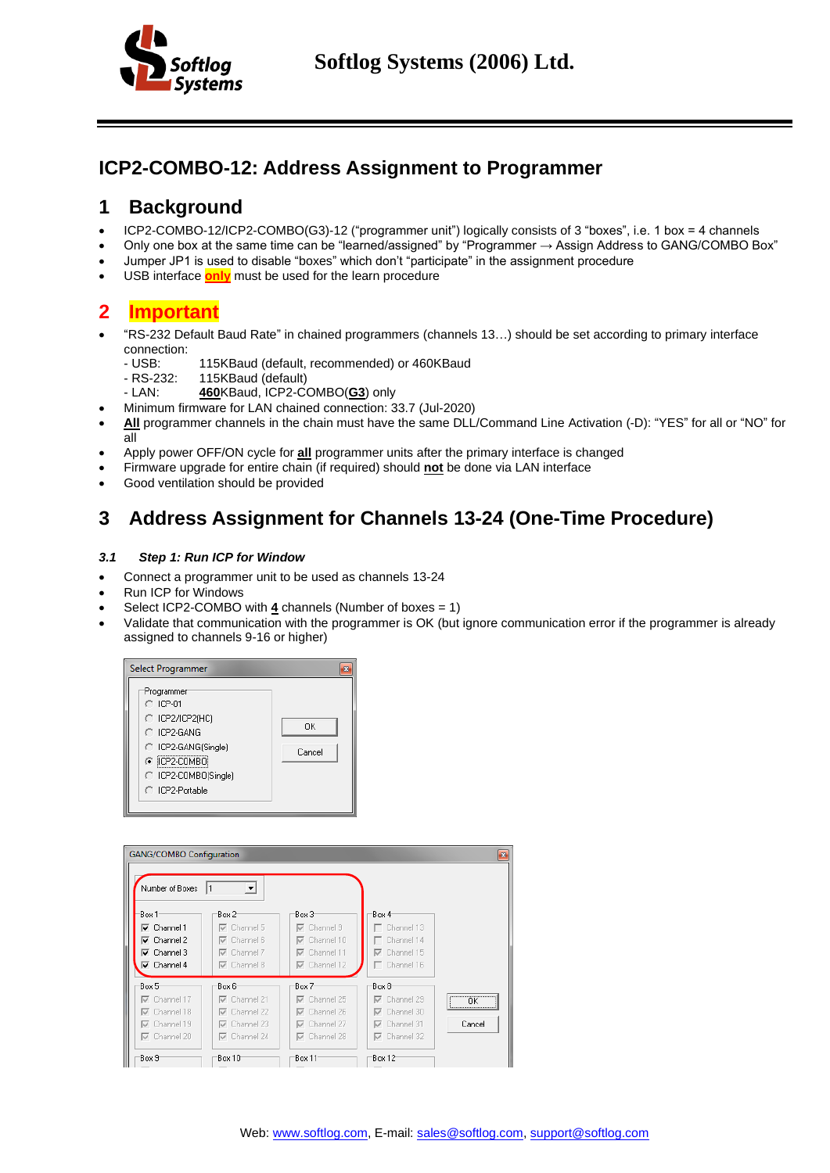

# **ICP2-COMBO-12: Address Assignment to Programmer**

## **1 Background**

- ICP2-COMBO-12/ICP2-COMBO(G3)-12 ("programmer unit") logically consists of 3 "boxes", i.e. 1 box = 4 channels
- Only one box at the same time can be "learned/assigned" by "Programmer  $\rightarrow$  Assign Address to GANG/COMBO Box"
- Jumper JP1 is used to disable "boxes" which don't "participate" in the assignment procedure
- <span id="page-0-0"></span>• USB interface **only** must be used for the learn procedure

## **2 Important**

- "RS-232 Default Baud Rate" in chained programmers (channels 13…) should be set according to primary interface connection:<br>- USB:
	- 115KBaud (default, recommended) or 460KBaud
	- RS-232: 115KBaud (default)<br>- LAN: **460**KBaud. ICP2-C
		- 460KBaud, ICP2-COMBO(G3) only
- Minimum firmware for LAN chained connection: 33.7 (Jul-2020)
- **All** programmer channels in the chain must have the same DLL/Command Line Activation (-D): "YES" for all or "NO" for all
- Apply power OFF/ON cycle for **all** programmer units after the primary interface is changed
- Firmware upgrade for entire chain (if required) should **not** be done via LAN interface
- Good ventilation should be provided

# **3 Address Assignment for Channels 13-24 (One-Time Procedure)**

### *3.1 Step 1: Run ICP for Window*

- Connect a programmer unit to be used as channels 13-24
- Run ICP for Windows
- Select ICP2-COMBO with **4** channels (Number of boxes = 1)
- Validate that communication with the programmer is OK (but ignore communication error if the programmer is already assigned to channels 9-16 or higher)



| <b>GANG/COMBO Configuration</b><br>Number of Boxes                                                                                         | 1<br>$\overline{\phantom{a}}$                                                                               |                                                                                                             |                                                                                                             | $\mathbf{B}$     |
|--------------------------------------------------------------------------------------------------------------------------------------------|-------------------------------------------------------------------------------------------------------------|-------------------------------------------------------------------------------------------------------------|-------------------------------------------------------------------------------------------------------------|------------------|
| Box 1<br>$\overline{\mathsf{v}}$ Channel 1<br>$\overline{\mathsf{v}}$ Channel 2<br>$\nabla$ Channel 3<br>$\overline{\mathsf{v}}$ Channel 4 | Box 2<br>$\nabla$ Channel 5<br>$\nabla$ Channel 6<br>$\nabla$ Channel 7<br>$\nabla$ Channel 8               | Box 3<br>$\nabla$ Channel 9<br>$\nabla$ Channel 10<br>$\nabla$ Channel 11<br>$\nabla$ Channel 12            | Box 4<br>$\Box$ Channel 13<br>$\Box$ Channel 14<br>$\nabla$ Channel 15<br>$\Box$ Channel 16                 |                  |
| Box 5<br>$\nabla$ Channel 17<br>$\nabla$ Channel 18<br>$\nabla$ Channel 19<br>$\nabla$ Channel 20<br>Box 9                                 | Box 6<br>$\nabla$ Channel 21<br>$\nabla$ Channel 22<br>$\nabla$ Channel 23<br>$\nabla$ Channel 24<br>Box 10 | Box 7<br>$\nabla$ Channel 25<br>$\nabla$ Channel 26<br>$\nabla$ Channel 27<br>$\nabla$ Channel 28<br>Box 11 | Box 8<br>$\nabla$ Channel 29<br>$\nabla$ Channel 30<br>$\nabla$ Channel 31<br>$\nabla$ Channel 32<br>Box 12 | <br>ПK<br>Cancel |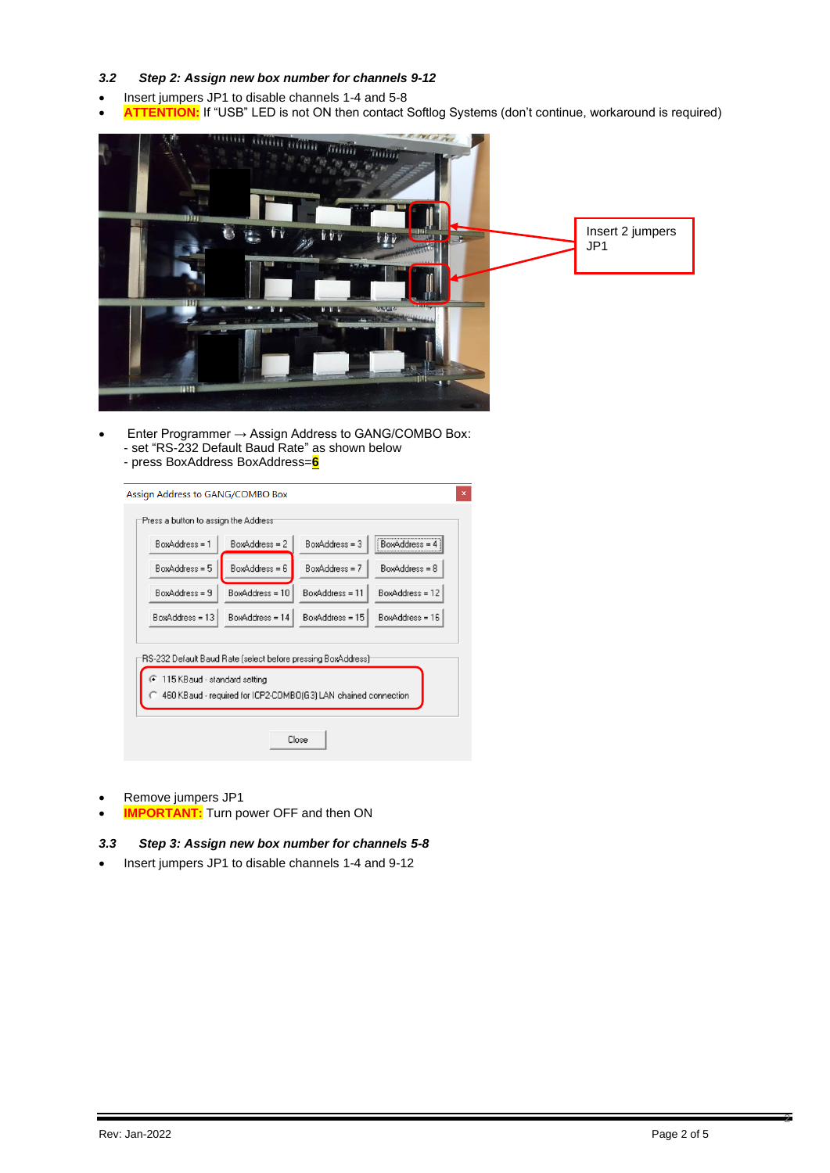### *3.2 Step 2: Assign new box number for channels 9-12*

- Insert jumpers JP1 to disable channels 1-4 and 5-8
- ATTENTION: If "USB" LED is not ON then contact Softlog Systems (don't continue, workaround is required)



• Enter Programmer → Assign Address to GANG/COMBO Box: - set "RS-232 Default Baud Rate" as shown below - press BoxAddress BoxAddress=**6**

| Press a button to assign the Address <sup>.</sup>                                                                                                                            |                   |                   |                   |  |  |
|------------------------------------------------------------------------------------------------------------------------------------------------------------------------------|-------------------|-------------------|-------------------|--|--|
| BoxAddress = 1                                                                                                                                                               | $BoxAddress = 2$  | $BoxAddress = 3$  | BoxAddress =      |  |  |
| BoxAddress = 5                                                                                                                                                               | $BoxAddress = 6$  | BoxAddress = 7    | BoxAddress = 8    |  |  |
| BoxAddress = 9                                                                                                                                                               | BoxAddress = 10   | BoxAddress = 11   | BoxAddress = 12   |  |  |
| BoxAddress = 13                                                                                                                                                              | $BoxAddress = 14$ | $BoxAddress = 15$ | $BoxAddress = 16$ |  |  |
| RS-232 Default Baud Rate (select before pressing BoxAddress) <sup>.</sup><br>115 KB aud - standard setting<br>460 KBaud - required for ICP2-COMBO(G3) LAN chained connection |                   |                   |                   |  |  |
| Close                                                                                                                                                                        |                   |                   |                   |  |  |

- Remove jumpers JP1
- **IMPORTANT:** Turn power OFF and then ON

### *3.3 Step 3: Assign new box number for channels 5-8*

• Insert jumpers JP1 to disable channels 1-4 and 9-12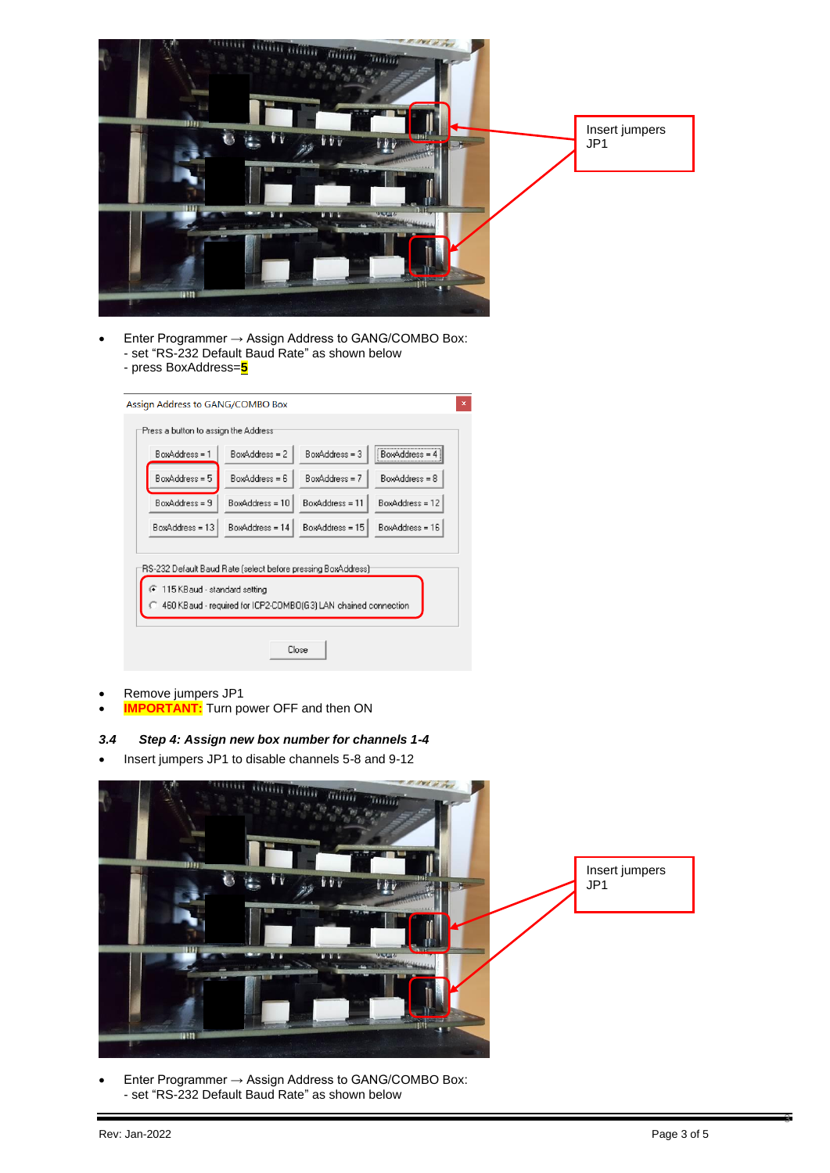

Enter Programmer  $\rightarrow$  Assign Address to GANG/COMBO Box: - set "RS-232 Default Baud Rate" as shown below - press BoxAddress=**5**

|                                                                                                                                                                      | Assign Address to GANG/COMBO Box<br>$\mathbf{x}$ |                                                   |                   |                   |  |
|----------------------------------------------------------------------------------------------------------------------------------------------------------------------|--------------------------------------------------|---------------------------------------------------|-------------------|-------------------|--|
|                                                                                                                                                                      |                                                  | Press a button to assign the Address <sup>.</sup> |                   |                   |  |
|                                                                                                                                                                      | BoxAddress = 1                                   | BoxAddress = 2                                    | BoxAddress = 3    | <b>BoxAddress</b> |  |
|                                                                                                                                                                      | BoxAddress = 5                                   | BoxAddress = 6                                    | $BoxAddress = 7$  | BoxAddress = 8    |  |
|                                                                                                                                                                      | BoxAddress = 9                                   | $BoxAddress = 10$                                 | $BoxAddress = 11$ | BoxAddress = 12   |  |
|                                                                                                                                                                      | BoxAddress = 13                                  | BoxAddress = 14                                   | BoxAddress = 15   | BoxAddress = 16   |  |
| RS-232 Default Baud Rate (select before pressing BoxAddress)<br>115 KB aud - standard setting<br>G<br>460 KBaud - required for ICP2-COMBO(G3) LAN chained connection |                                                  |                                                   |                   |                   |  |
| Close                                                                                                                                                                |                                                  |                                                   |                   |                   |  |

- Remove jumpers JP1
- **IMPORTANT:** Turn power OFF and then ON

### *3.4 Step 4: Assign new box number for channels 1-4*

• Insert jumpers JP1 to disable channels 5-8 and 9-12



• Enter Programmer → Assign Address to GANG/COMBO Box: - set "RS-232 Default Baud Rate" as shown below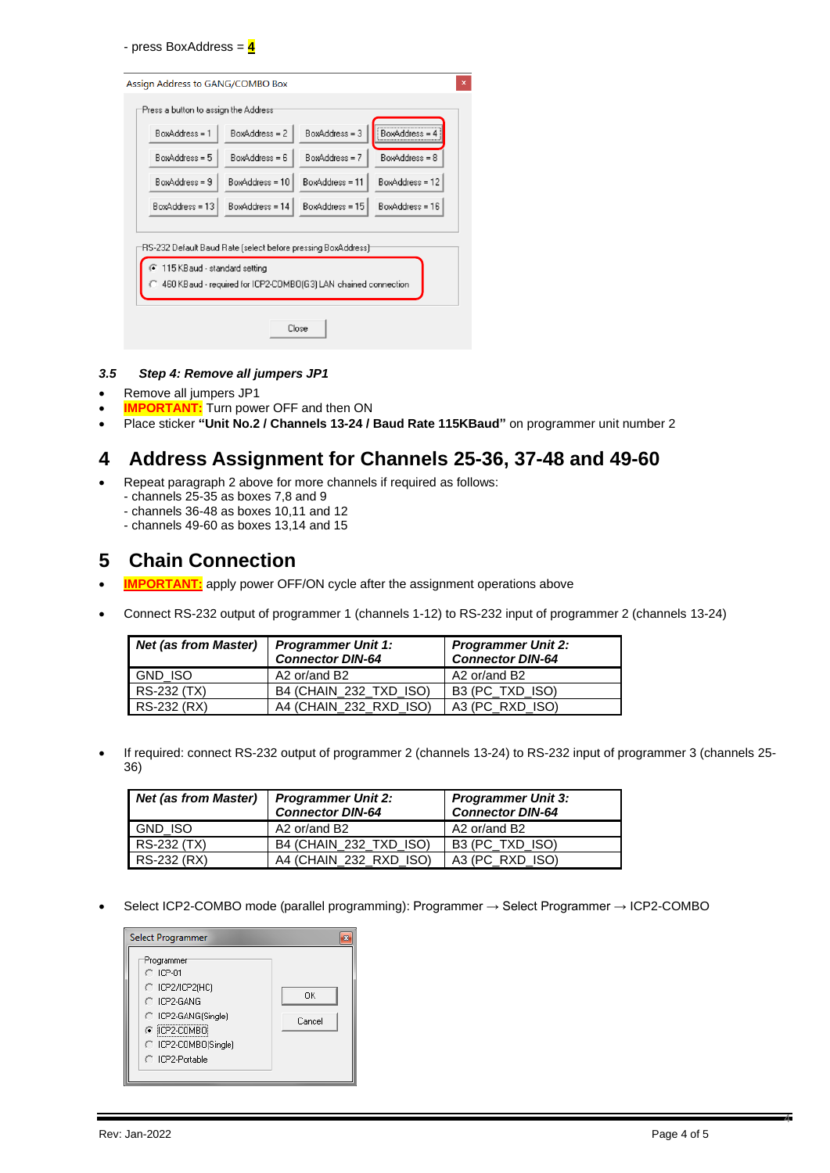- press BoxAddress = **4**

| $\mathsf{x}$<br>Assign Address to GANG/COMBO Box                                                 |  |  |  |  |  |
|--------------------------------------------------------------------------------------------------|--|--|--|--|--|
| Press a button to assign the Address <sup>.</sup>                                                |  |  |  |  |  |
| BoxAddress = 3<br>BoxAddress =<br>$BoxAddress = 2$<br>BoxAddress = 1                             |  |  |  |  |  |
| $BoxAddress = 5$<br>BoxAddress = 7<br>$BoxAddress = 6$<br>BoxAddress = 8                         |  |  |  |  |  |
| $BoxAddress = 9$<br>BoxAddress = 10<br>BoxAddress = 11<br>BoxAddress = 12                        |  |  |  |  |  |
| $BoxAddress = 13$<br>BoxAddress = 14<br>BoxAddress = 15<br>$BoxAddress = 16$                     |  |  |  |  |  |
| RS-232 Default Baud Rate (select before pressing BoxAddress) <sup>.</sup>                        |  |  |  |  |  |
| 115 KB aud - standard setting<br>460 KB aud - required for ICP2-COMBO(G3) LAN chained connection |  |  |  |  |  |
| Close                                                                                            |  |  |  |  |  |

#### *3.5 Step 4: Remove all jumpers JP1*

- Remove all jumpers JP1
- **IMPORTANT:** Turn power OFF and then ON
- Place sticker **"Unit No.2 / Channels 13-24 / Baud Rate 115KBaud"** on programmer unit number 2

## **4 Address Assignment for Channels 25-36, 37-48 and 49-60**

- Repeat paragraph [2](#page-0-0) above for more channels if required as follows:
	- channels 25-35 as boxes 7,8 and 9
	- channels 36-48 as boxes 10,11 and 12
	- channels 49-60 as boxes 13,14 and 15

### **5 Chain Connection**

- **IMPORTANT:** apply power OFF/ON cycle after the assignment operations above
- Connect RS-232 output of programmer 1 (channels 1-12) to RS-232 input of programmer 2 (channels 13-24)

| <b>Net (as from Master)</b> | <b>Programmer Unit 1:</b><br><b>Connector DIN-64</b> | <b>Programmer Unit 2:</b><br><b>Connector DIN-64</b> |  |
|-----------------------------|------------------------------------------------------|------------------------------------------------------|--|
| GND ISO                     | A2 or/and B2                                         | A2 or/and B2                                         |  |
| RS-232 (TX)                 | B4 (CHAIN 232 TXD ISO)                               | B3 (PC TXD ISO)                                      |  |
| RS-232 (RX)                 | A4 (CHAIN 232 RXD ISO)                               | A3 (PC RXD ISO)                                      |  |

• If required: connect RS-232 output of programmer 2 (channels 13-24) to RS-232 input of programmer 3 (channels 25- 36)

| <b>Net (as from Master)</b> | <b>Programmer Unit 2:</b><br><b>Connector DIN-64</b> | <b>Programmer Unit 3:</b><br><b>Connector DIN-64</b> |  |
|-----------------------------|------------------------------------------------------|------------------------------------------------------|--|
| <b>GND ISO</b>              | A2 or/and B2                                         | A2 or/and B2                                         |  |
| RS-232 (TX)                 | B4 (CHAIN 232 TXD ISO)                               | B3 (PC TXD ISO)                                      |  |
| RS-232 (RX)                 | A4 (CHAIN 232 RXD ISO)                               | A3 (PC RXD ISO)                                      |  |

• Select ICP2-COMBO mode (parallel programming): Programmer → Select Programmer → ICP2-COMBO